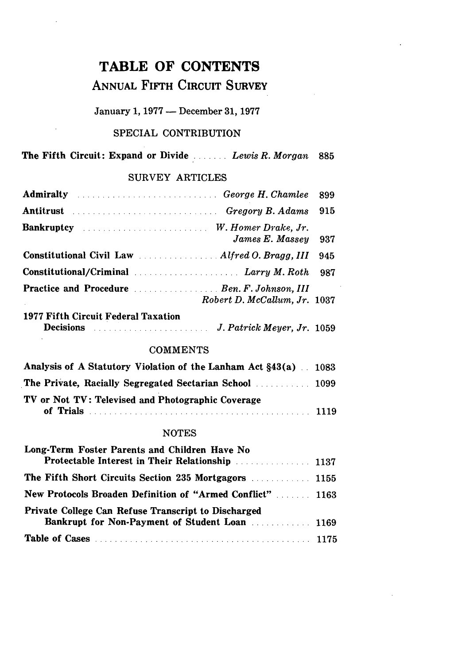# TABLE OF **CONTENTS**

# ANNUAL **FIFTH** CIRCUIT SURVEY

## January **1, 1977** - December **31, 1977**

#### SPECIAL CONTRIBUTION

### The Fifth Circuit: Expand or Divide ....... *Lewis R. Morgan* **<sup>885</sup>**

#### SURVEY ARTICLES

| <b>Admiralty</b> All Admiral Admiral Property All Chambers Admiral Property Assembly Assembly Assembly Assembly Assembly Assembly Assembly Assembly Assembly Assembly Assembly Assembly Assembly Assembly Assembly Assembly Assembl | 899 |
|-------------------------------------------------------------------------------------------------------------------------------------------------------------------------------------------------------------------------------------|-----|
| Antitrust Mathematics Charles of the Gregory B. Adams                                                                                                                                                                               | 915 |
| <b>Bankruptcy</b> <i>manufacture manufacture and M. Homer Drake, Jr.</i><br>James E. Massey                                                                                                                                         | 937 |
|                                                                                                                                                                                                                                     | 945 |
| Constitutional/Criminal Communications of Larry M. Roth                                                                                                                                                                             | 987 |
| Practice and Procedure Material Communication of Ben. F. Johnson, III<br>Robert D. McCallum, Jr. 1037                                                                                                                               |     |
| 1977 Fifth Circuit Federal Taxation                                                                                                                                                                                                 |     |

| <b>Decisions</b> | J. Patrick Meyer, Jr. 1059 |
|------------------|----------------------------|
|                  |                            |

#### **COMMENTS**

| Analysis of A Statutory Violation of the Lanham Act §43(a) 1083 |  |
|-----------------------------------------------------------------|--|
| The Private, Racially Segregated Sectarian School [1009] [1009] |  |
| TV or Not TV: Televised and Photographic Coverage               |  |
|                                                                 |  |

#### NOTES

| Long-Term Foster Parents and Children Have No              |  |
|------------------------------------------------------------|--|
|                                                            |  |
|                                                            |  |
| New Protocols Broaden Definition of "Armed Conflict"  1163 |  |
| <b>Private College Can Refuse Transcript to Discharged</b> |  |
| Bankrupt for Non-Payment of Student Loan  1169             |  |
|                                                            |  |